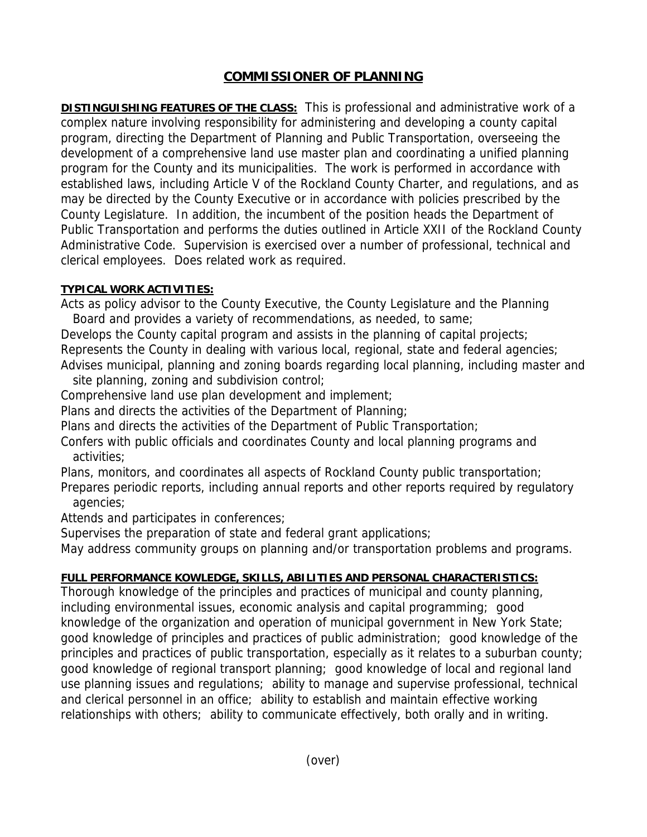## **COMMISSIONER OF PLANNING**

**DISTINGUISHING FEATURES OF THE CLASS:** This is professional and administrative work of a complex nature involving responsibility for administering and developing a county capital program, directing the Department of Planning and Public Transportation, overseeing the development of a comprehensive land use master plan and coordinating a unified planning program for the County and its municipalities. The work is performed in accordance with established laws, including Article V of the Rockland County Charter, and regulations, and as may be directed by the County Executive or in accordance with policies prescribed by the County Legislature. In addition, the incumbent of the position heads the Department of Public Transportation and performs the duties outlined in Article XXII of the Rockland County Administrative Code. Supervision is exercised over a number of professional, technical and clerical employees. Does related work as required.

## **TYPICAL WORK ACTIVITIES:**

Acts as policy advisor to the County Executive, the County Legislature and the Planning Board and provides a variety of recommendations, as needed, to same;

Develops the County capital program and assists in the planning of capital projects; Represents the County in dealing with various local, regional, state and federal agencies; Advises municipal, planning and zoning boards regarding local planning, including master and

site planning, zoning and subdivision control;

Comprehensive land use plan development and implement;

Plans and directs the activities of the Department of Planning;

Plans and directs the activities of the Department of Public Transportation;

Confers with public officials and coordinates County and local planning programs and activities;

Plans, monitors, and coordinates all aspects of Rockland County public transportation;

Prepares periodic reports, including annual reports and other reports required by regulatory agencies;

Attends and participates in conferences;

Supervises the preparation of state and federal grant applications;

May address community groups on planning and/or transportation problems and programs.

## **FULL PERFORMANCE KOWLEDGE, SKILLS, ABILITIES AND PERSONAL CHARACTERISTICS:**

Thorough knowledge of the principles and practices of municipal and county planning, including environmental issues, economic analysis and capital programming; good knowledge of the organization and operation of municipal government in New York State; good knowledge of principles and practices of public administration; good knowledge of the principles and practices of public transportation, especially as it relates to a suburban county; good knowledge of regional transport planning; good knowledge of local and regional land use planning issues and regulations; ability to manage and supervise professional, technical and clerical personnel in an office; ability to establish and maintain effective working relationships with others; ability to communicate effectively, both orally and in writing.